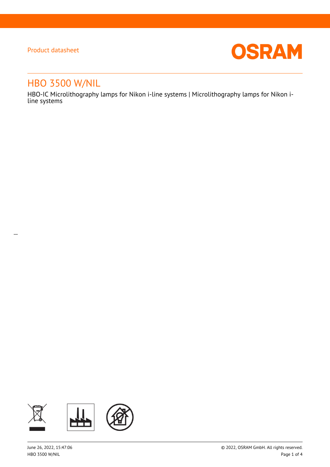$\overline{a}$ 



# HBO 3500 W/NIL

HBO-IC Microlithography lamps for Nikon i-line systems | Microlithography lamps for Nikon iline systems

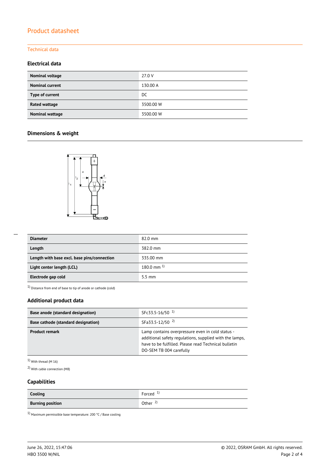### Technical data

### **Electrical data**

| Nominal voltage        | 27.0 V    |
|------------------------|-----------|
| <b>Nominal current</b> | 130.00 A  |
| Type of current        | DC        |
| <b>Rated wattage</b>   | 3500.00 W |
| <b>Nominal wattage</b> | 3500.00 W |

## **Dimensions & weight**



| <b>Diameter</b>                             | $82.0$ mm               |
|---------------------------------------------|-------------------------|
| Length                                      | 382.0 mm                |
| Length with base excl. base pins/connection | 335.00 mm               |
| Light center length (LCL)                   | $180.0 \text{ mm}^{-1}$ |
| Electrode gap cold                          | $5.5 \text{ mm}$        |

 $1)$  Distance from end of base to tip of anode or cathode (cold)

### **Additional product data**

| Base anode (standard designation)   | SFc33.5-16/50 <sup>1</sup>                                                                                                                                                                     |  |  |
|-------------------------------------|------------------------------------------------------------------------------------------------------------------------------------------------------------------------------------------------|--|--|
| Base cathode (standard designation) | SFa33.5-12/50 <sup>2)</sup>                                                                                                                                                                    |  |  |
| <b>Product remark</b>               | Lamp contains overpressure even in cold status -<br>additional safety regulations, supplied with the lamps,<br>have to be fulfilled. Please read Technical bulletin<br>DO-SEM TB 004 carefully |  |  |

 $1)$  With thread (M 16)

2) With cable connection (M8)

## **Capabilities**

| Cooling                 | Forced                               |
|-------------------------|--------------------------------------|
| <b>Burning position</b> | Other<br>$\mathcal{L}_{\mathcal{A}}$ |

 $^{1)}$  Maximum permissible base temperature: 200 °C / Base cooling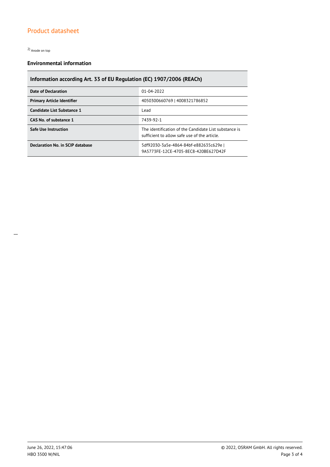2) Anode on top

## **Environmental information**

# **Information according Art. 33 of EU Regulation (EC) 1907/2006 (REACh)**

| Date of Declaration               | 01-04-2022                                                                                            |  |  |
|-----------------------------------|-------------------------------------------------------------------------------------------------------|--|--|
| <b>Primary Article Identifier</b> | 4050300660769   4008321786852                                                                         |  |  |
| Candidate List Substance 1        | Lead                                                                                                  |  |  |
| CAS No. of substance 1            | 7439-92-1                                                                                             |  |  |
| <b>Safe Use Instruction</b>       | The identification of the Candidate List substance is<br>sufficient to allow safe use of the article. |  |  |
| Declaration No. in SCIP database  | 5df92030-3a5e-4864-84bf-e882635c629e<br>9A5773FE-12CE-4705-8EC8-420BE627D42F                          |  |  |